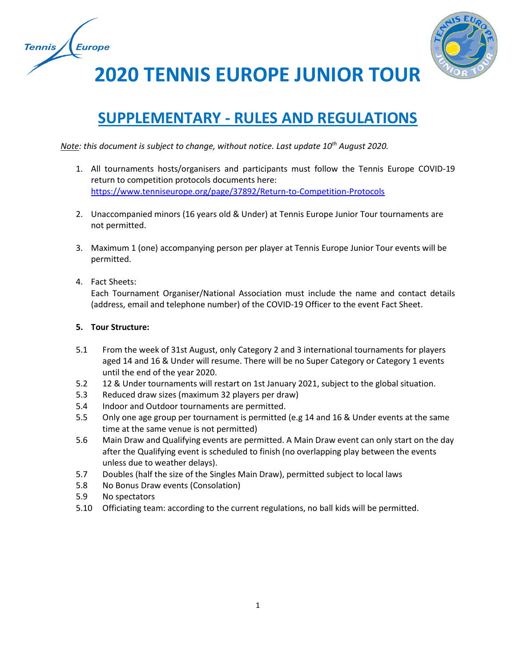



**2020 TENNIS EUROPE JUNIOR TOUR**

# **SUPPLEMENTARY - RULES AND REGULATIONS**

*Note: this document is subject to change, without notice. Last update 10th August 2020.* 

- 1. All tournaments hosts/organisers and participants must follow the Tennis Europe COVID-19 return to competition protocols documents here: <https://www.tenniseurope.org/page/37892/Return-to-Competition-Protocols>
- 2. Unaccompanied minors (16 years old & Under) at Tennis Europe Junior Tour tournaments are not permitted.
- 3. Maximum 1 (one) accompanying person per player at Tennis Europe Junior Tour events will be permitted.
- 4. Fact Sheets:

Each Tournament Organiser/National Association must include the name and contact details (address, email and telephone number) of the COVID-19 Officer to the event Fact Sheet.

## **5. Tour Structure:**

- 5.1 From the week of 31st August, only Category 2 and 3 international tournaments for players aged 14 and 16 & Under will resume. There will be no Super Category or Category 1 events until the end of the year 2020.
- 5.2 12 & Under tournaments will restart on 1st January 2021, subject to the global situation.
- 5.3 Reduced draw sizes (maximum 32 players per draw)
- 5.4 Indoor and Outdoor tournaments are permitted.
- 5.5 Only one age group per tournament is permitted (e.g 14 and 16 & Under events at the same time at the same venue is not permitted)
- 5.6 Main Draw and Qualifying events are permitted. A Main Draw event can only start on the day after the Qualifying event is scheduled to finish (no overlapping play between the events unless due to weather delays).
- 5.7 Doubles (half the size of the Singles Main Draw), permitted subject to local laws
- 5.8 No Bonus Draw events (Consolation)
- 5.9 No spectators
- 5.10 Officiating team: according to the current regulations, no ball kids will be permitted.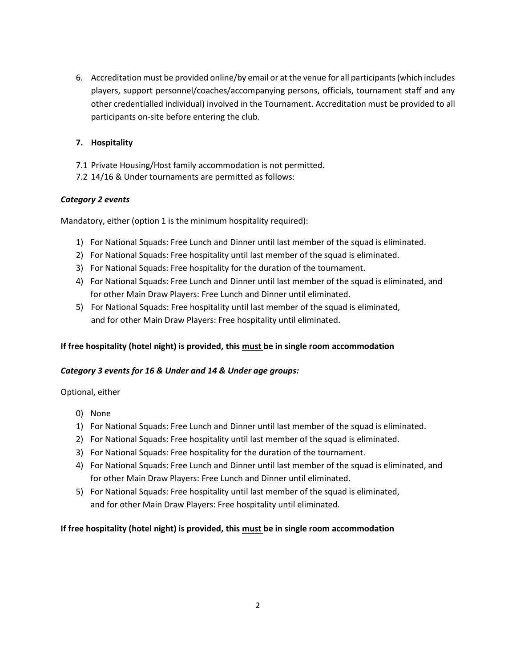6. Accreditation must be provided online/by email or at the venue for all participants (which includes players, support personnel/coaches/accompanying persons, officials, tournament staff and any other credentialled individual) involved in the Tournament. Accreditation must be provided to all participants on-site before entering the club.

# **7. Hospitality**

- 7.1 Private Housing/Host family accommodation is not permitted.
- 7.2 14/16 & Under tournaments are permitted as follows:

## *Category 2 events*

Mandatory, either (option 1 is the minimum hospitality required):

- 1) For National Squads: Free Lunch and Dinner until last member of the squad is eliminated.
- 2) For National Squads: Free hospitality until last member of the squad is eliminated.
- 3) For National Squads: Free hospitality for the duration of the tournament.
- 4) For National Squads: Free Lunch and Dinner until last member of the squad is eliminated, and for other Main Draw Players: Free Lunch and Dinner until eliminated.
- 5) For National Squads: Free hospitality until last member of the squad is eliminated, and for other Main Draw Players: Free hospitality until eliminated.

## **If free hospitality (hotel night) is provided, this must be in single room accommodation**

## *Category 3 events for 16 & Under and 14 & Under age groups:*

Optional, either

- 0) None
- 1) For National Squads: Free Lunch and Dinner until last member of the squad is eliminated.
- 2) For National Squads: Free hospitality until last member of the squad is eliminated.
- 3) For National Squads: Free hospitality for the duration of the tournament.
- 4) For National Squads: Free Lunch and Dinner until last member of the squad is eliminated, and for other Main Draw Players: Free Lunch and Dinner until eliminated.
- 5) For National Squads: Free hospitality until last member of the squad is eliminated, and for other Main Draw Players: Free hospitality until eliminated.

## **If free hospitality (hotel night) is provided, this must be in single room accommodation**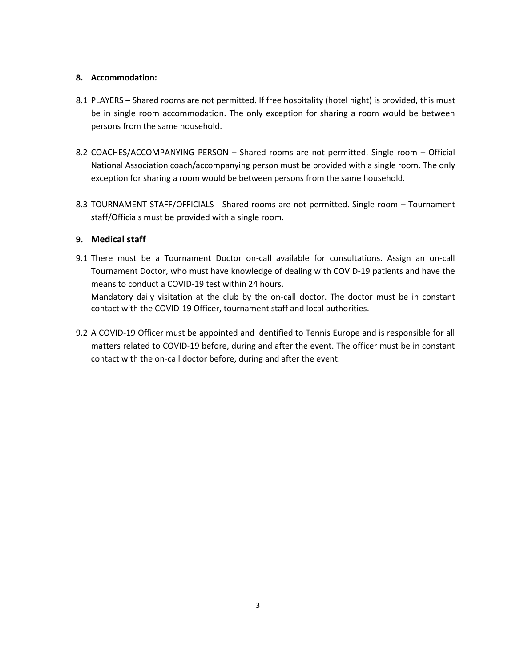## **8. Accommodation:**

- 8.1 PLAYERS Shared rooms are not permitted. If free hospitality (hotel night) is provided, this must be in single room accommodation. The only exception for sharing a room would be between persons from the same household.
- 8.2 COACHES/ACCOMPANYING PERSON Shared rooms are not permitted. Single room Official National Association coach/accompanying person must be provided with a single room. The only exception for sharing a room would be between persons from the same household.
- 8.3 TOURNAMENT STAFF/OFFICIALS Shared rooms are not permitted. Single room Tournament staff/Officials must be provided with a single room.

## **9. Medical staff**

9.1 There must be a Tournament Doctor on-call available for consultations. Assign an on-call Tournament Doctor, who must have knowledge of dealing with COVID-19 patients and have the means to conduct a COVID-19 test within 24 hours.

Mandatory daily visitation at the club by the on-call doctor. The doctor must be in constant contact with the COVID-19 Officer, tournament staff and local authorities.

9.2 A COVID-19 Officer must be appointed and identified to Tennis Europe and is responsible for all matters related to COVID-19 before, during and after the event. The officer must be in constant contact with the on-call doctor before, during and after the event.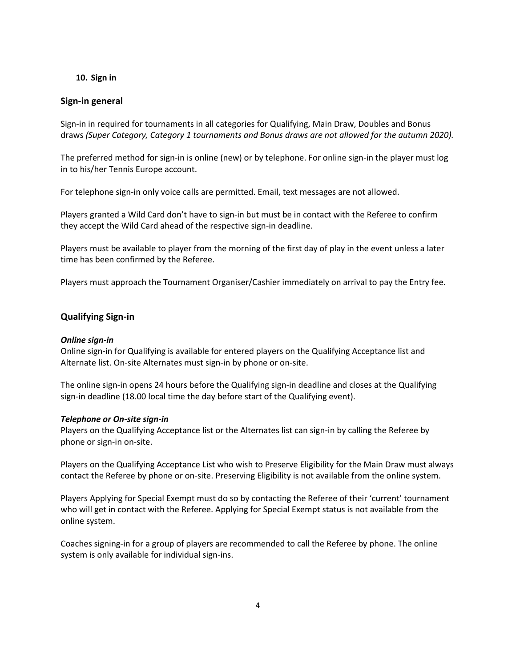## **10. Sign in**

## **Sign-in general**

Sign-in in required for tournaments in all categories for Qualifying, Main Draw, Doubles and Bonus draws *(Super Category, Category 1 tournaments and Bonus draws are not allowed for the autumn 2020).*

The preferred method for sign-in is online (new) or by telephone. For online sign-in the player must log in to his/her Tennis Europe account.

For telephone sign-in only voice calls are permitted. Email, text messages are not allowed.

Players granted a Wild Card don't have to sign-in but must be in contact with the Referee to confirm they accept the Wild Card ahead of the respective sign-in deadline.

Players must be available to player from the morning of the first day of play in the event unless a later time has been confirmed by the Referee.

Players must approach the Tournament Organiser/Cashier immediately on arrival to pay the Entry fee.

#### **Qualifying Sign-in**

#### *Online sign-in*

Online sign-in for Qualifying is available for entered players on the Qualifying Acceptance list and Alternate list. On-site Alternates must sign-in by phone or on-site.

The online sign-in opens 24 hours before the Qualifying sign-in deadline and closes at the Qualifying sign-in deadline (18.00 local time the day before start of the Qualifying event).

#### *Telephone or On-site sign-in*

Players on the Qualifying Acceptance list or the Alternates list can sign-in by calling the Referee by phone or sign-in on-site.

Players on the Qualifying Acceptance List who wish to Preserve Eligibility for the Main Draw must always contact the Referee by phone or on-site. Preserving Eligibility is not available from the online system.

Players Applying for Special Exempt must do so by contacting the Referee of their 'current' tournament who will get in contact with the Referee. Applying for Special Exempt status is not available from the online system.

Coaches signing-in for a group of players are recommended to call the Referee by phone. The online system is only available for individual sign-ins.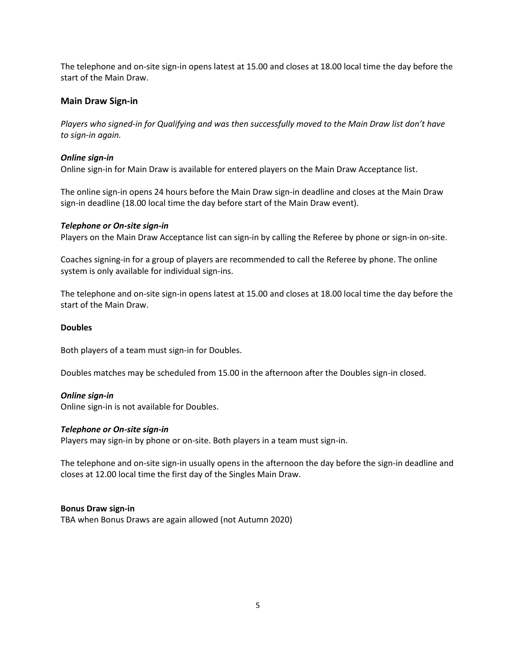The telephone and on-site sign-in opens latest at 15.00 and closes at 18.00 local time the day before the start of the Main Draw.

## **Main Draw Sign-in**

*Players who signed-in for Qualifying and was then successfully moved to the Main Draw list don't have to sign-in again.*

### *Online sign-in*

Online sign-in for Main Draw is available for entered players on the Main Draw Acceptance list.

The online sign-in opens 24 hours before the Main Draw sign-in deadline and closes at the Main Draw sign-in deadline (18.00 local time the day before start of the Main Draw event).

#### *Telephone or On-site sign-in*

Players on the Main Draw Acceptance list can sign-in by calling the Referee by phone or sign-in on-site.

Coaches signing-in for a group of players are recommended to call the Referee by phone. The online system is only available for individual sign-ins.

The telephone and on-site sign-in opens latest at 15.00 and closes at 18.00 local time the day before the start of the Main Draw.

#### **Doubles**

Both players of a team must sign-in for Doubles.

Doubles matches may be scheduled from 15.00 in the afternoon after the Doubles sign-in closed.

#### *Online sign-in*

Online sign-in is not available for Doubles.

#### *Telephone or On-site sign-in*

Players may sign-in by phone or on-site. Both players in a team must sign-in.

The telephone and on-site sign-in usually opens in the afternoon the day before the sign-in deadline and closes at 12.00 local time the first day of the Singles Main Draw.

#### **Bonus Draw sign-in**

TBA when Bonus Draws are again allowed (not Autumn 2020)